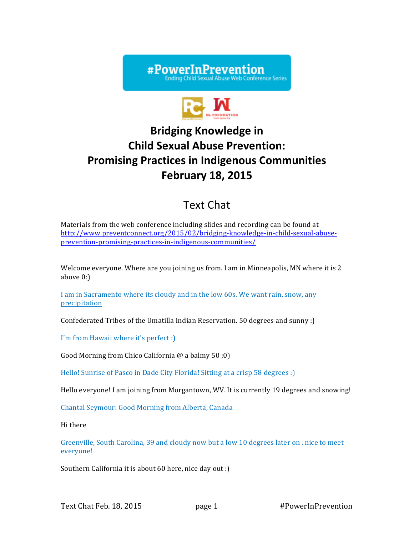



# **Bridging Knowledge in Child Sexual Abuse Prevention: Promising Practices in Indigenous Communities February 18, 2015**

# Text Chat

Materials from the web conference including slides and recording can be found at http://www.preventconnect.org/2015/02/bridging-knowledge-in-child-sexual-abuseprevention-promising-practices-in-indigenous-communities/

Welcome everyone. Where are you joining us from. I am in Minneapolis, MN where it is 2 above 0:)

I am in Sacramento where its cloudy and in the low 60s. We want rain, snow, any precipitation

Confederated Tribes of the Umatilla Indian Reservation. 50 degrees and sunny :)

I'm from Hawaii where it's perfect :)

Good Morning from Chico California @ a balmy 50 ;0)

Hello! Sunrise of Pasco in Dade City Florida! Sitting at a crisp 58 degrees :)

Hello everyone! I am joining from Morgantown, WV. It is currently 19 degrees and snowing!

Chantal Seymour: Good Morning from Alberta, Canada

Hi there

Greenville, South Carolina, 39 and cloudy now but a low 10 degrees later on . nice to meet everyone!

Southern California it is about 60 here, nice day out :)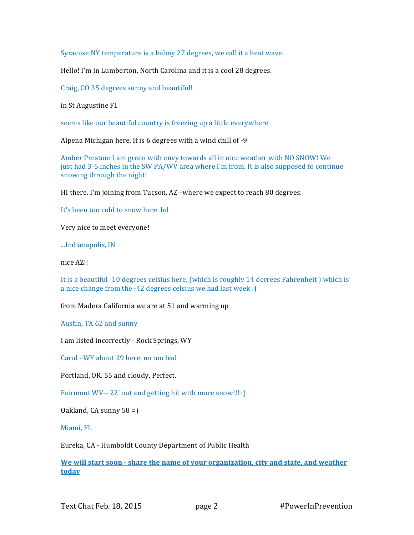Syracuse NY temperature is a balmy 27 degrees, we call it a heat wave.

Hello! I'm in Lumberton, North Carolina and it is a cool 28 degrees.

Craig, CO 35 degrees sunny and beautiful!

in St Augustine Fl.

seems like our beautiful country is freezing up a little everywhere

Alpena Michigan here. It is 6 degrees with a wind chill of -9

Amber Preston: I am green with envy towards all in nice weather with NO SNOW! We just had 3-5 inches in the SW PA/WV area where I'm from. It is also supposed to continue snowing through the night!

HI there. I'm joining from Tucson, AZ--where we expect to reach 80 degrees.

It's been too cold to snow here. lol

Very nice to meet everyone!

...Indianapolis, IN

nice AZ!!

It is a beautiful -10 degrees celsius here, (which is roughly 14 derrees Fahrenheit ) which is a nice change from the -42 degrees celsius we had last week :)

from Madera California we are at 51 and warming up

Austin, TX 62 and sunny

I am listed incorrectly - Rock Springs, WY

Carol - WY about 29 here, no too bad

Portland, OR. 55 and cloudy. Perfect.

Fairmont WV-- 22' out and getting hit with more snow!!! :)

Oakland, CA sunny 58 =)

Miami, FL

Eureka, CA - Humboldt County Department of Public Health

**We will start soon - share the name of your organization, city and state, and weather today**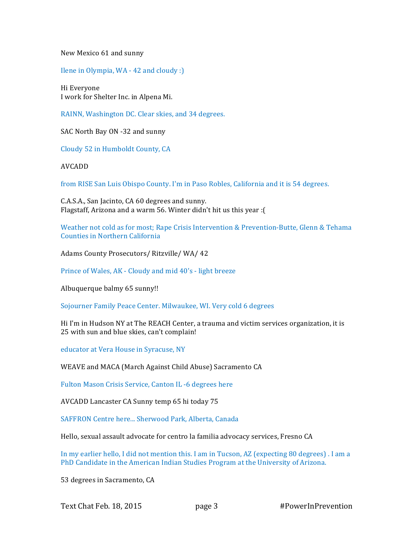New Mexico 61 and sunny

Ilene in Olympia, WA - 42 and cloudy :)

Hi Everyone I work for Shelter Inc. in Alpena Mi.

RAINN, Washington DC. Clear skies, and 34 degrees.

SAC North Bay ON -32 and sunny

Cloudy 52 in Humboldt County, CA

AVCADD

from RISE San Luis Obispo County. I'm in Paso Robles, California and it is 54 degrees.

C.A.S.A., San Jacinto, CA 60 degrees and sunny. Flagstaff, Arizona and a warm 56. Winter didn't hit us this year :(

Weather not cold as for most; Rape Crisis Intervention & Prevention-Butte, Glenn & Tehama Counties in Northern California

Adams County Prosecutors/ Ritzville/ WA/ 42

Prince of Wales, AK - Cloudy and mid 40's - light breeze

Albuquerque balmy 65 sunny!!

Sojourner Family Peace Center. Milwaukee, WI. Very cold 6 degrees

Hi I'm in Hudson NY at The REACH Center, a trauma and victim services organization, it is 25 with sun and blue skies, can't complain!

educator at Vera House in Syracuse, NY

WEAVE and MACA (March Against Child Abuse) Sacramento CA

Fulton Mason Crisis Service, Canton IL -6 degrees here

AVCADD Lancaster CA Sunny temp 65 hi today 75

SAFFRON Centre here... Sherwood Park, Alberta, Canada

Hello, sexual assault advocate for centro la familia advocacy services, Fresno CA

In my earlier hello, I did not mention this. I am in Tucson, AZ (expecting 80 degrees) . I am a PhD Candidate in the American Indian Studies Program at the University of Arizona.

53 degrees in Sacramento, CA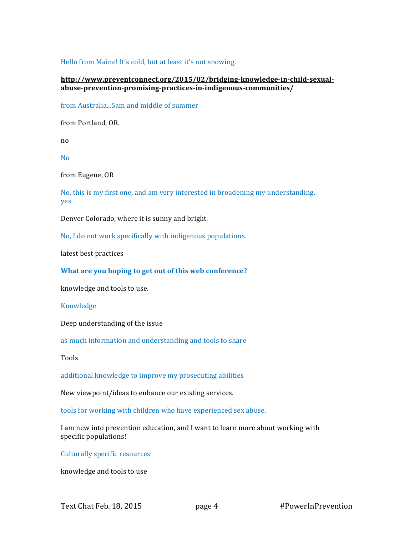## Hello from Maine! It's cold, but at least it's not snowing.

# **http://www.preventconnect.org/2015/02/bridging-knowledge-in-child-sexualabuse-prevention-promising-practices-in-indigenous-communities/**

from Australia...5am and middle of summer

from Portland, OR.

no

No

from Eugene, OR

No, this is my first one, and am very interested in broadening my understanding. yes

Denver Colorado, where it is sunny and bright.

No, I do not work specifically with indigenous populations.

latest best practices

**What are you hoping to get out of this web conference?**

knowledge and tools to use.

Knowledge

Deep understanding of the issue

as much information and understanding and tools to share

Tools

additional knowledge to improve my prosecuting abilities

New viewpoint/ideas to enhance our existing services.

tools for working with children who have experienced sex abuse.

I am new into prevention education, and I want to learn more about working with specific populations!

Culturally specific resources

knowledge and tools to use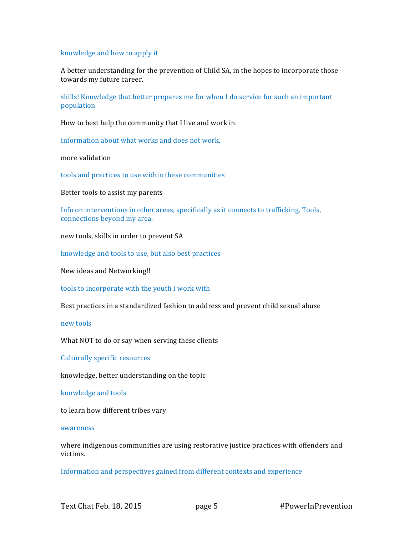### knowledge and how to apply it

A better understanding for the prevention of Child SA, in the hopes to incorporate those towards my future career.

skills! Knowledge that better prepares me for when I do service for such an important population

How to best help the community that I live and work in.

Information about what works and does not work.

more validation

tools and practices to use within these communities

Better tools to assist my parents

Info on interventions in other areas, specifically as it connects to trafficking. Tools, connections beyond my area.

new tools, skills in order to prevent SA

knowledge and tools to use, but also best practices

New ideas and Networking!!

tools to incorporate with the youth I work with

Best practices in a standardized fashion to address and prevent child sexual abuse

new tools

What NOT to do or say when serving these clients

Culturally specific resources

knowledge, better understanding on the topic

knowledge and tools

to learn how different tribes vary

#### awareness

where indigenous communities are using restorative justice practices with offenders and victims.

Information and perspectives gained from different contexts and experience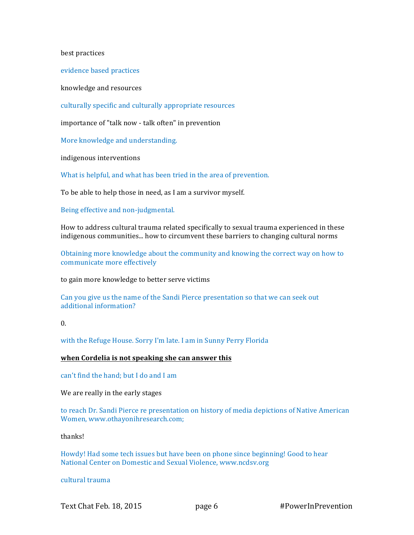best practices

evidence based practices

knowledge and resources

culturally specific and culturally appropriate resources

importance of "talk now - talk often" in prevention

More knowledge and understanding.

indigenous interventions

What is helpful, and what has been tried in the area of prevention.

To be able to help those in need, as I am a survivor myself.

Being effective and non-judgmental.

How to address cultural trauma related specifically to sexual trauma experienced in these indigenous communities... how to circumvent these barriers to changing cultural norms

Obtaining more knowledge about the community and knowing the correct way on how to communicate more effectively

to gain more knowledge to better serve victims

Can you give us the name of the Sandi Pierce presentation so that we can seek out additional information?

 $\overline{0}$ .

with the Refuge House. Sorry I'm late. I am in Sunny Perry Florida

#### **when Cordelia is not speaking she can answer this**

can't find the hand; but I do and I am

We are really in the early stages

to reach Dr. Sandi Pierce re presentation on history of media depictions of Native American Women, www.othayonihresearch.com;

thanks!

Howdy! Had some tech issues but have been on phone since beginning! Good to hear National Center on Domestic and Sexual Violence, www.ncdsv.org

cultural trauma

Text Chat Feb. 18, 2015 **page 6** #PowerInPrevention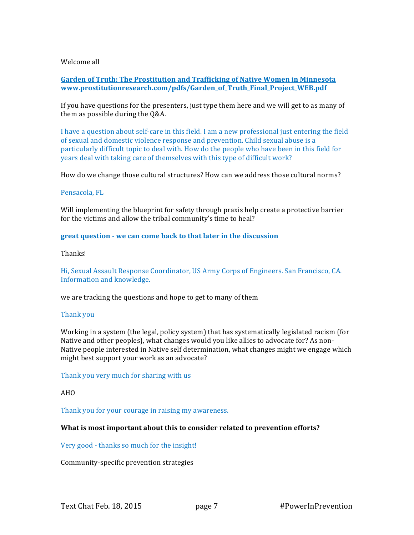# Welcome all

**Garden of Truth: The Prostitution and Trafficking of Native Women in Minnesota www.prostitutionresearch.com/pdfs/Garden\_of\_Truth\_Final\_Project\_WEB.pdf**

If you have questions for the presenters, just type them here and we will get to as many of them as possible during the Q&A.

I have a question about self-care in this field. I am a new professional just entering the field of sexual and domestic violence response and prevention. Child sexual abuse is a particularly difficult topic to deal with. How do the people who have been in this field for years deal with taking care of themselves with this type of difficult work?

How do we change those cultural structures? How can we address those cultural norms?

### Pensacola, FL

Will implementing the blueprint for safety through praxis help create a protective barrier for the victims and allow the tribal community's time to heal?

**great question - we can come back to that later in the discussion**

### Thanks!

Hi, Sexual Assault Response Coordinator, US Army Corps of Engineers. San Francisco, CA. Information and knowledge.

we are tracking the questions and hope to get to many of them

# Thank you

Working in a system (the legal, policy system) that has systematically legislated racism (for Native and other peoples), what changes would you like allies to advocate for? As non-Native people interested in Native self determination, what changes might we engage which might best support your work as an advocate?

Thank you very much for sharing with us

#### AHO

Thank you for your courage in raising my awareness.

# **What is most important about this to consider related to prevention efforts?**

# Very good - thanks so much for the insight!

Community-specific prevention strategies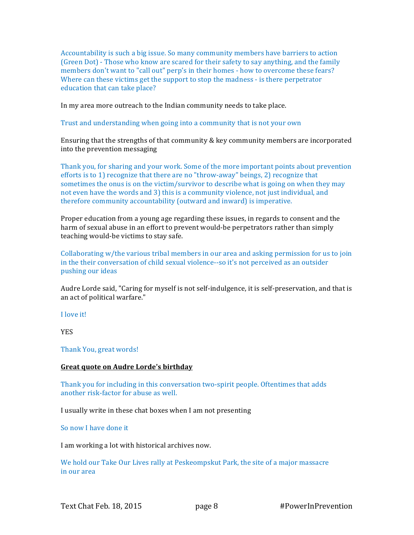Accountability is such a big issue. So many community members have barriers to action (Green Dot) - Those who know are scared for their safety to say anything, and the family members don't want to "call out" perp's in their homes - how to overcome these fears? Where can these victims get the support to stop the madness - is there perpetrator education that can take place?

In my area more outreach to the Indian community needs to take place.

Trust and understanding when going into a community that is not your own

Ensuring that the strengths of that community & key community members are incorporated into the prevention messaging

Thank you, for sharing and your work. Some of the more important points about prevention efforts is to 1) recognize that there are no "throw-away" beings, 2) recognize that sometimes the onus is on the victim/survivor to describe what is going on when they may not even have the words and 3) this is a community violence, not just individual, and therefore community accountability (outward and inward) is imperative.

Proper education from a young age regarding these issues, in regards to consent and the harm of sexual abuse in an effort to prevent would-be perpetrators rather than simply teaching would-be victims to stay safe.

Collaborating w/the various tribal members in our area and asking permission for us to join in the their conversation of child sexual violence--so it's not perceived as an outsider pushing our ideas

Audre Lorde said, "Caring for myself is not self-indulgence, it is self-preservation, and that is an act of political warfare."

I love it!

YES

Thank You, great words!

#### **Great quote on Audre Lorde's birthday**

Thank you for including in this conversation two-spirit people. Oftentimes that adds another risk-factor for abuse as well.

I usually write in these chat boxes when I am not presenting

So now I have done it

I am working a lot with historical archives now.

We hold our Take Our Lives rally at Peskeompskut Park, the site of a major massacre in our area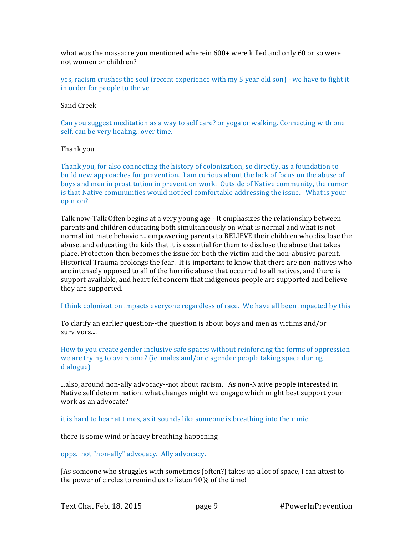what was the massacre you mentioned wherein  $600+$  were killed and only  $60$  or so were not women or children?

yes, racism crushes the soul (recent experience with my 5 year old son) - we have to fight it in order for people to thrive

#### Sand Creek

Can you suggest meditation as a way to self care? or yoga or walking. Connecting with one self, can be very healing...over time.

### Thank you

Thank you, for also connecting the history of colonization, so directly, as a foundation to build new approaches for prevention. I am curious about the lack of focus on the abuse of boys and men in prostitution in prevention work. Outside of Native community, the rumor is that Native communities would not feel comfortable addressing the issue. What is your opinion?

Talk now-Talk Often begins at a very young age - It emphasizes the relationship between parents and children educating both simultaneously on what is normal and what is not normal intimate behavior... empowering parents to BELIEVE their children who disclose the abuse, and educating the kids that it is essential for them to disclose the abuse that takes place. Protection then becomes the issue for both the victim and the non-abusive parent. Historical Trauma prolongs the fear. It is important to know that there are non-natives who are intensely opposed to all of the horrific abuse that occurred to all natives, and there is support available, and heart felt concern that indigenous people are supported and believe they are supported.

I think colonization impacts everyone regardless of race. We have all been impacted by this

To clarify an earlier question--the question is about boys and men as victims and/or survivors....

How to you create gender inclusive safe spaces without reinforcing the forms of oppression we are trying to overcome? (ie. males and/or cisgender people taking space during dialogue)

...also, around non-ally advocacy--not about racism. As non-Native people interested in Native self determination, what changes might we engage which might best support your work as an advocate?

it is hard to hear at times, as it sounds like someone is breathing into their mic

there is some wind or heavy breathing happening

opps. not "non-ally" advocacy. Ally advocacy.

[As someone who struggles with sometimes (often?) takes up a lot of space, I can attest to the power of circles to remind us to listen  $90\%$  of the time!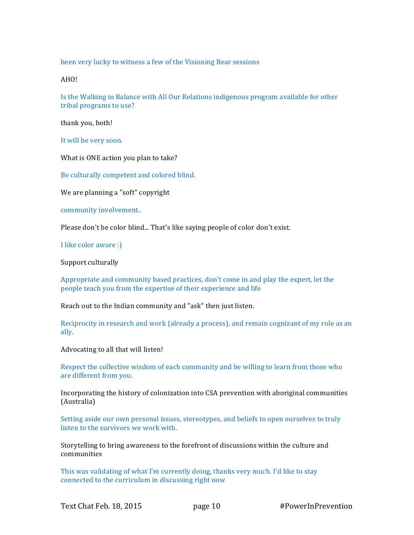been very lucky to witness a few of the Visioning Bear sessions

AHO!

Is the Walking in Balance with All Our Relations indigenous program available for other tribal programs to use?

thank you, both!

It will be very soon.

What is ONE action you plan to take?

Be culturally competent and colored blind.

We are planning a "soft" copyright

community involvement..

Please don't be color blind... That's like saying people of color don't exist.

I like color aware :)

Support culturally 

Appropriate and community based practices, don't come in and play the expert, let the people teach you from the expertise of their experience and life

Reach out to the Indian community and "ask" then just listen.

Reciprocity in research and work (already a process), and remain cognizant of my role as an ally.

Advocating to all that will listen!

Respect the collective wisdom of each community and be willing to learn from those who are different from you.

Incorporating the history of colonization into CSA prevention with aboriginal communities (Australia)

Setting aside our own personal issues, stereotypes, and beliefs to open ourselves to truly listen to the survivors we work with.

Storytelling to bring awareness to the forefront of discussions within the culture and communities

This was validating of what I'm currently doing, thanks very much. I'd like to stay connected to the curriculum in discussing right now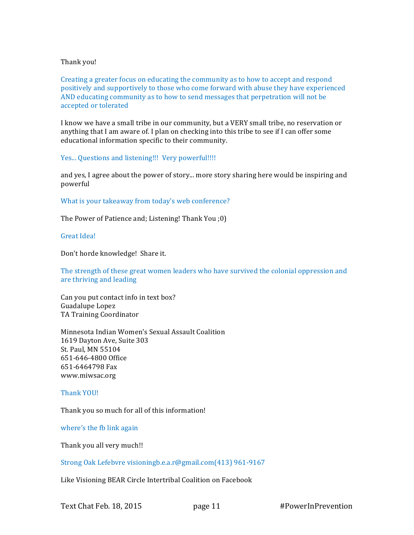# Thank you!

Creating a greater focus on educating the community as to how to accept and respond positively and supportively to those who come forward with abuse they have experienced AND educating community as to how to send messages that perpetration will not be accepted or tolerated

I know we have a small tribe in our community, but a VERY small tribe, no reservation or anything that I am aware of. I plan on checking into this tribe to see if I can offer some educational information specific to their community.

Yes... Questions and listening!!! Very powerful!!!!

and yes, I agree about the power of story... more story sharing here would be inspiring and powerful

What is your takeaway from today's web conference?

The Power of Patience and; Listening! Thank You ;0)

Great Idea!

Don't horde knowledge! Share it.

The strength of these great women leaders who have survived the colonial oppression and are thriving and leading

Can you put contact info in text box? Guadalupe Lopez TA Training Coordinator

Minnesota Indian Women's Sexual Assault Coalition 1619 Dayton Ave, Suite 303 St. Paul, MN 55104 651-646-4800 Office 651-6464798 Fax www.miwsac.org

Thank YOU!

Thank you so much for all of this information!

where's the fb link again

Thank you all very much!!

Strong Oak Lefebvre visioningb.e.a.r@gmail.com(413) 961-9167

Like Visioning BEAR Circle Intertribal Coalition on Facebook